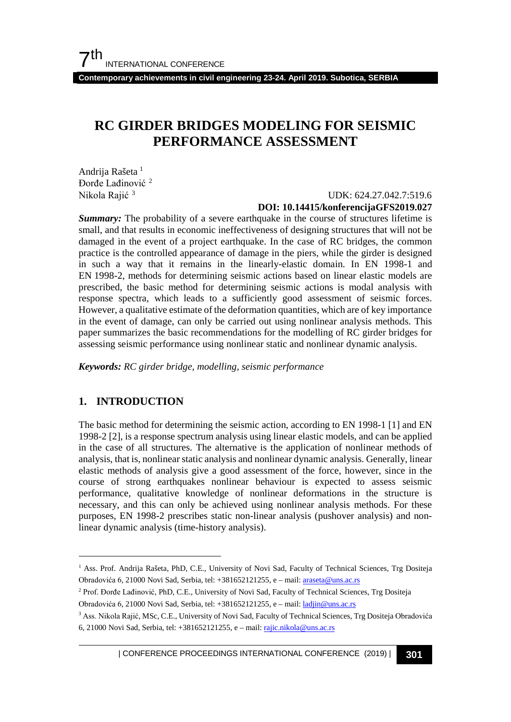**Contemporary achievements in civil engineering 23-24. April 2019. Subotica, SERBIA**

# **RC GIRDER BRIDGES MODELING FOR SEISMIC PERFORMANCE ASSESSMENT**

Andrija Rašeta<sup>[1](#page-0-0)</sup> Đorđe Lađinović [2](#page-0-1) Nikola Rajić [3](#page-0-2)

### UDK: 624.27.042.7:519.6 **DOI: 10.14415/konferencijaGFS2019.027**

**Summary:** The probability of a severe earthquake in the course of structures lifetime is small, and that results in economic ineffectiveness of designing structures that will not be damaged in the event of a project earthquake. In the case of RC bridges, the common practice is the controlled appearance of damage in the piers, while the girder is designed in such a way that it remains in the linearly-elastic domain. In EN 1998-1 and EN 1998-2, methods for determining seismic actions based on linear elastic models are prescribed, the basic method for determining seismic actions is modal analysis with response spectra, which leads to a sufficiently good assessment of seismic forces. However, a qualitative estimate of the deformation quantities, which are of key importance in the event of damage, can only be carried out using nonlinear analysis methods. This paper summarizes the basic recommendations for the modelling of RC girder bridges for assessing seismic performance using nonlinear static and nonlinear dynamic analysis.

*Keywords: RC girder bridge, modelling, seismic performance*

### **1. INTRODUCTION**

The basic method for determining the seismic action, according to EN 1998-1 [1] and EN 1998-2 [2], is a response spectrum analysis using linear elastic models, and can be applied in the case of all structures. The alternative is the application of nonlinear methods of analysis, that is, nonlinear static analysis and nonlinear dynamic analysis. Generally, linear elastic methods of analysis give a good assessment of the force, however, since in the course of strong earthquakes nonlinear behaviour is expected to assess seismic performance, qualitative knowledge of nonlinear deformations in the structure is necessary, and this can only be achieved using nonlinear analysis methods. For these purposes, EN 1998-2 prescribes static non-linear analysis (pushover analysis) and nonlinear dynamic analysis (time-history analysis).

<span id="page-0-1"></span><sup>2</sup> Prof. Đorđe Lađinović, PhD, C.E., University of Novi Sad, Faculty of Technical Sciences, Trg Dositeja Obradovića 6, 21000 Novi Sad, Serbia, tel: +381652121255, e – mail[: ladjin@uns.ac.rs](mailto:ladjin@uns.ac.rs)

| CONFERENCE PROCEEDINGS INTERNATIONAL CONFERENCE (2019) <sup>|</sup>**301**

<span id="page-0-0"></span><sup>&</sup>lt;sup>1</sup> Ass. Prof. Andrija Rašeta, PhD, C.E., University of Novi Sad, Faculty of Technical Sciences, Trg Dositeja Obradovića 6, 21000 Novi Sad, Serbia, tel: +381652121255, e – mail[: araseta@uns.ac.rs](mailto:araseta@uns.ac.rs)

<span id="page-0-2"></span><sup>&</sup>lt;sup>3</sup> Ass. Nikola Rajić, MSc, C.E., University of Novi Sad, Faculty of Technical Sciences, Trg Dositeja Obradovića 6, 21000 Novi Sad, Serbia, tel: +381652121255, e – mail[: rajic.nikola@uns.ac.rs](mailto:rajic.nikola@uns.ac.rs)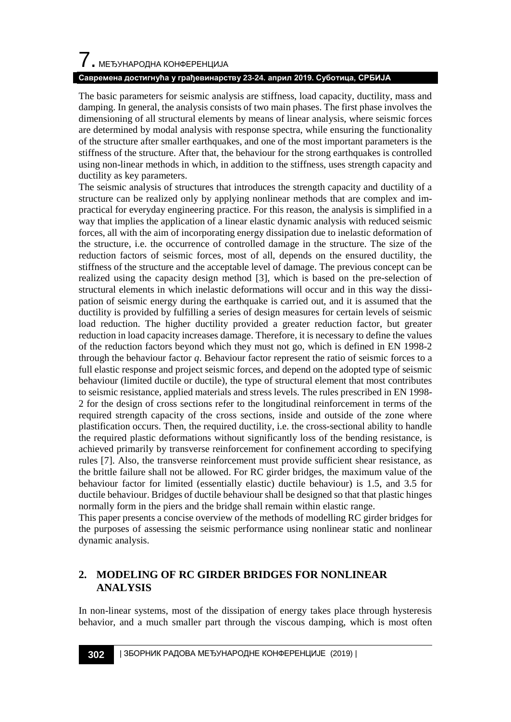### **Савремена достигнућа у грађевинарству 23-24. април 2019. Суботица, СРБИЈА**

The basic parameters for seismic analysis are stiffness, load capacity, ductility, mass and damping. In general, the analysis consists of two main phases. The first phase involves the dimensioning of all structural elements by means of linear analysis, where seismic forces are determined by modal analysis with response spectra, while ensuring the functionality of the structure after smaller earthquakes, and one of the most important parameters is the stiffness of the structure. After that, the behaviour for the strong earthquakes is controlled using non-linear methods in which, in addition to the stiffness, uses strength capacity and ductility as key parameters.

The seismic analysis of structures that introduces the strength capacity and ductility of a structure can be realized only by applying nonlinear methods that are complex and impractical for everyday engineering practice. For this reason, the analysis is simplified in a way that implies the application of a linear elastic dynamic analysis with reduced seismic forces, all with the aim of incorporating energy dissipation due to inelastic deformation of the structure, i.e. the occurrence of controlled damage in the structure. The size of the reduction factors of seismic forces, most of all, depends on the ensured ductility, the stiffness of the structure and the acceptable level of damage. The previous concept can be realized using the capacity design method [3], which is based on the pre-selection of structural elements in which inelastic deformations will occur and in this way the dissipation of seismic energy during the earthquake is carried out, and it is assumed that the ductility is provided by fulfilling a series of design measures for certain levels of seismic load reduction. The higher ductility provided a greater reduction factor, but greater reduction in load capacity increases damage. Therefore, it is necessary to define the values of the reduction factors beyond which they must not go, which is defined in EN 1998-2 through the behaviour factor *q*. Behaviour factor represent the ratio of seismic forces to a full elastic response and project seismic forces, and depend on the adopted type of seismic behaviour (limited ductile or ductile), the type of structural element that most contributes to seismic resistance, applied materials and stress levels. The rules prescribed in EN 1998- 2 for the design of cross sections refer to the longitudinal reinforcement in terms of the required strength capacity of the cross sections, inside and outside of the zone where plastification occurs. Then, the required ductility, i.e. the cross-sectional ability to handle the required plastic deformations without significantly loss of the bending resistance, is achieved primarily by transverse reinforcement for confinement according to specifying rules [7]. Also, the transverse reinforcement must provide sufficient shear resistance, as the brittle failure shall not be allowed. For RC girder bridges, the maximum value of the behaviour factor for limited (essentially elastic) ductile behaviour) is 1.5, and 3.5 for ductile behaviour. Bridges of ductile behaviour shall be designed so that that plastic hinges normally form in the piers and the bridge shall remain within elastic range.

This paper presents a concise overview of the methods of modelling RC girder bridges for the purposes of assessing the seismic performance using nonlinear static and nonlinear dynamic analysis.

### **2. MODELING OF RC GIRDER BRIDGES FOR NONLINEAR ANALYSIS**

In non-linear systems, most of the dissipation of energy takes place through hysteresis behavior, and a much smaller part through the viscous damping, which is most often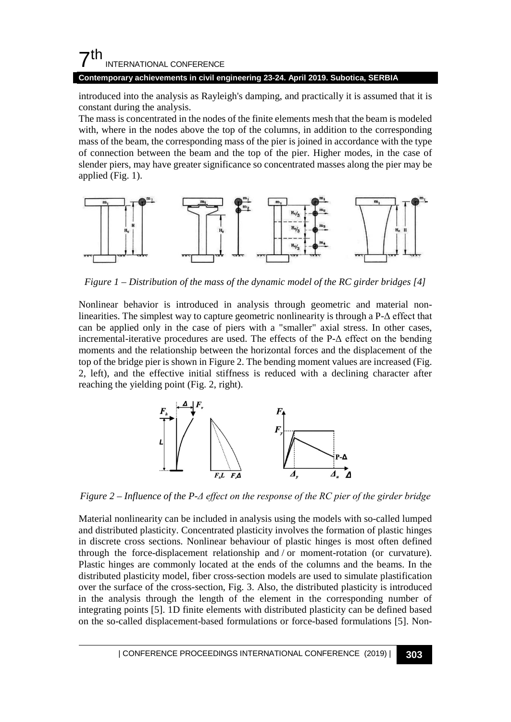# $7<sup>th</sup>$ INTERNATIONAL CONFERENCE

### **Contemporary achievements in civil engineering 23-24. April 2019. Subotica, SERBIA**

introduced into the analysis as Rayleigh's damping, and practically it is assumed that it is constant during the analysis.

The mass is concentrated in the nodes of the finite elements mesh that the beam is modeled with, where in the nodes above the top of the columns, in addition to the corresponding mass of the beam, the corresponding mass of the pier is joined in accordance with the type of connection between the beam and the top of the pier. Higher modes, in the case of slender piers, may have greater significance so concentrated masses along the pier may be applied (Fig. 1).



*Figure 1 – Distribution of the mass of the dynamic model of the RC girder bridge[s \[4\]](#page-7-0)*

Nonlinear behavior is introduced in analysis through geometric and material nonlinearities. The simplest way to capture geometric nonlinearity is through a P-Δ effect that can be applied only in the case of piers with a "smaller" axial stress. In other cases, incremental-iterative procedures are used. The effects of the  $P-\Delta$  effect on the bending moments and the relationship between the horizontal forces and the displacement of the top of the bridge pier is shown in Figure 2. The bending moment values are increased (Fig. 2, left), and the effective initial stiffness is reduced with a declining character after reaching the yielding point (Fig. 2, right).



*Figure 2 – Influence of the P-Δ effect on the response of the RC pier of the girder bridge*

Material nonlinearity can be included in analysis using the models with so-called lumped and distributed plasticity. Concentrated plasticity involves the formation of plastic hinges in discrete cross sections. Nonlinear behaviour of plastic hinges is most often defined through the force-displacement relationship and / or moment-rotation (or curvature). Plastic hinges are commonly located at the ends of the columns and the beams. In the distributed plasticity model, fiber cross-section models are used to simulate plastification over the surface of the cross-section, Fig. 3. Also, the distributed plasticity is introduced in the analysis through the length of the element in the corresponding number of integrating points [\[5\].](#page-7-1) 1D finite elements with distributed plasticity can be defined based on the so-called displacement-based formulations or force-based formulations [\[5\].](#page-7-1) Non-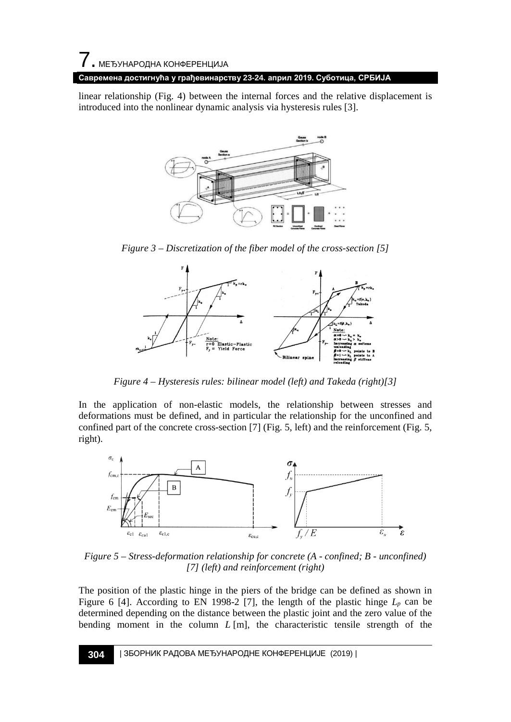### **Савремена достигнућа у грађевинарству 23-24. април 2019. Суботица, СРБИЈА**

linear relationship (Fig. 4) between the internal forces and the relative displacement is introduced into the nonlinear dynamic analysis via hysteresis rules [\[3\].](#page-7-2)



*Figure 3 – Discretization of the fiber model of the cross-section [\[5\]](#page-7-1)*



*Figure 4 – Hysteresis rules: bilinear model (left) and Takeda (right[\)\[3\]](#page-7-2)*

In the application of non-elastic models, the relationship between stresses and deformations must be defined, and in particular the relationship for the unconfined and confined part of the concrete cross-section [7] (Fig. 5, left) and the reinforcement (Fig. 5, right).



*Figure 5 – Stress-deformation relationship for concrete (A - confined; B - unconfined) [7] (left) and reinforcement (right)*

The position of the plastic hinge in the piers of the bridge can be defined as shown in Figure 6 [\[4\].](#page-7-0) According to EN 1998-2 [\[7\],](#page-7-3) the length of the plastic hinge  $L_p$  can be determined depending on the distance between the plastic joint and the zero value of the bending moment in the column *L* [m], the characteristic tensile strength of the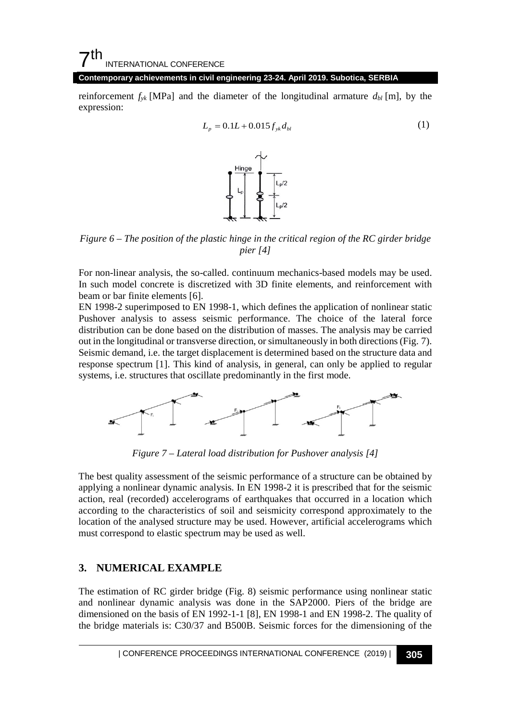# $7<sup>th</sup>$ INTERNATIONAL CONFERENCE

**Contemporary achievements in civil engineering 23-24. April 2019. Subotica, SERBIA**

reinforcement  $f_{yk}$  [MPa] and the diameter of the longitudinal armature  $d_{bl}$  [m], by the expression:

$$
L_p = 0.1L + 0.015 f_{yk} d_{bl}
$$
 (1)



*Figure 6 – The position of the plastic hinge in the critical region of the RC girder bridge pier [\[4\]](#page-7-0)*

For non-linear analysis, the so-called. continuum mechanics-based models may be used. In such model concrete is discretized with 3D finite elements, and reinforcement with beam or bar finite elements [\[6\].](#page-7-4)

EN 1998-2 superimposed to EN 1998-1, which defines the application of nonlinear static Pushover analysis to assess seismic performance. The choice of the lateral force distribution can be done based on the distribution of masses. The analysis may be carried out in the longitudinal or transverse direction, or simultaneously in both directions (Fig. 7). Seismic demand, i.e. the target displacement is determined based on the structure data and response spectrum [\[1\].](#page-7-5) This kind of analysis, in general, can only be applied to regular systems, i.e. structures that oscillate predominantly in the first mode.



*Figure 7 – Lateral load distribution for Pushover analysi[s \[4\]](#page-7-0)*

The best quality assessment of the seismic performance of a structure can be obtained by applying a nonlinear dynamic analysis. In EN 1998-2 it is prescribed that for the seismic action, real (recorded) accelerograms of earthquakes that occurred in a location which according to the characteristics of soil and seismicity correspond approximately to the location of the analysed structure may be used. However, artificial accelerograms which must correspond to elastic spectrum may be used as well.

### **3. NUMERICAL EXAMPLE**

The estimation of RC girder bridge (Fig. 8) seismic performance using nonlinear static and nonlinear dynamic analysis was done in the SAP2000. Piers of the bridge are dimensioned on the basis of EN 1992-1-1 [8], EN 1998-1 and EN 1998-2. The quality of the bridge materials is: C30/37 and B500B. Seismic forces for the dimensioning of the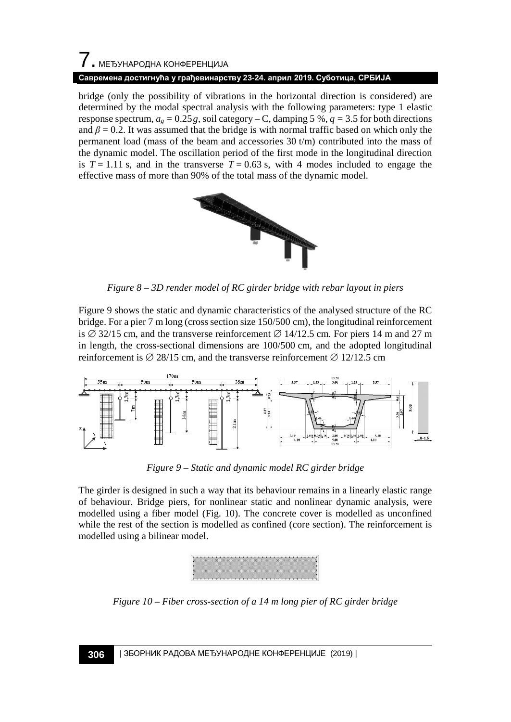# 7. МЕЂУНАРОДНА КОНФЕРЕНЦИЈА **Савремена достигнућа у грађевинарству 23-24. април 2019. Суботица, СРБИЈА**

bridge (only the possibility of vibrations in the horizontal direction is considered) are determined by the modal spectral analysis with the following parameters: type 1 elastic response spectrum,  $a_g = 0.25g$ , soil category – C, damping 5 %,  $q = 3.5$  for both directions and  $\beta$  = 0.2. It was assumed that the bridge is with normal traffic based on which only the permanent load (mass of the beam and accessories 30 t/m) contributed into the mass of the dynamic model. The oscillation period of the first mode in the longitudinal direction is  $T = 1.11$  s, and in the transverse  $T = 0.63$  s, with 4 modes included to engage the effective mass of more than 90% of the total mass of the dynamic model.



*Figure 8 – 3D render model of RC girder bridge with rebar layout in piers*

Figure 9 shows the static and dynamic characteristics of the analysed structure of the RC bridge. For a pier 7 m long (cross section size 150/500 cm), the longitudinal reinforcement is  $\varnothing$  32/15 cm, and the transverse reinforcement  $\varnothing$  14/12.5 cm. For piers 14 m and 27 m in length, the cross-sectional dimensions are 100/500 cm, and the adopted longitudinal reinforcement is  $\varnothing$  28/15 cm, and the transverse reinforcement  $\varnothing$  12/12.5 cm



*Figure 9 – Static and dynamic model RC girder bridge*

The girder is designed in such a way that its behaviour remains in a linearly elastic range of behaviour. Bridge piers, for nonlinear static and nonlinear dynamic analysis, were modelled using a fiber model (Fig. 10). The concrete cover is modelled as unconfined while the rest of the section is modelled as confined (core section). The reinforcement is modelled using a bilinear model.



*Figure 10 – Fiber cross-section of a 14 m long pier of RC girder bridge*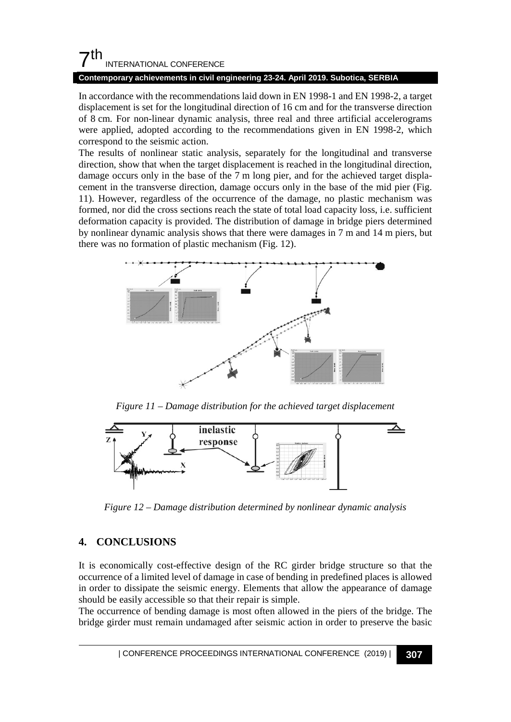# $7<sup>th</sup>$ INTERNATIONAL CONFERENCE

#### **Contemporary achievements in civil engineering 23-24. April 2019. Subotica, SERBIA**

In accordance with the recommendations laid down in EN 1998-1 and EN 1998-2, a target displacement is set for the longitudinal direction of 16 cm and for the transverse direction of 8 cm. For non-linear dynamic analysis, three real and three artificial accelerograms were applied, adopted according to the recommendations given in EN 1998-2, which correspond to the seismic action.

The results of nonlinear static analysis, separately for the longitudinal and transverse direction, show that when the target displacement is reached in the longitudinal direction, damage occurs only in the base of the 7 m long pier, and for the achieved target displacement in the transverse direction, damage occurs only in the base of the mid pier (Fig. 11). However, regardless of the occurrence of the damage, no plastic mechanism was formed, nor did the cross sections reach the state of total load capacity loss, i.e. sufficient deformation capacity is provided. The distribution of damage in bridge piers determined by nonlinear dynamic analysis shows that there were damages in 7 m and 14 m piers, but there was no formation of plastic mechanism (Fig. 12).



*Figure 11 – Damage distribution for the achieved target displacement*



*Figure 12 – Damage distribution determined by nonlinear dynamic analysis*

# **4. CONCLUSIONS**

It is economically cost-effective design of the RC girder bridge structure so that the occurrence of a limited level of damage in case of bending in predefined places is allowed in order to dissipate the seismic energy. Elements that allow the appearance of damage should be easily accessible so that their repair is simple.

The occurrence of bending damage is most often allowed in the piers of the bridge. The bridge girder must remain undamaged after seismic action in order to preserve the basic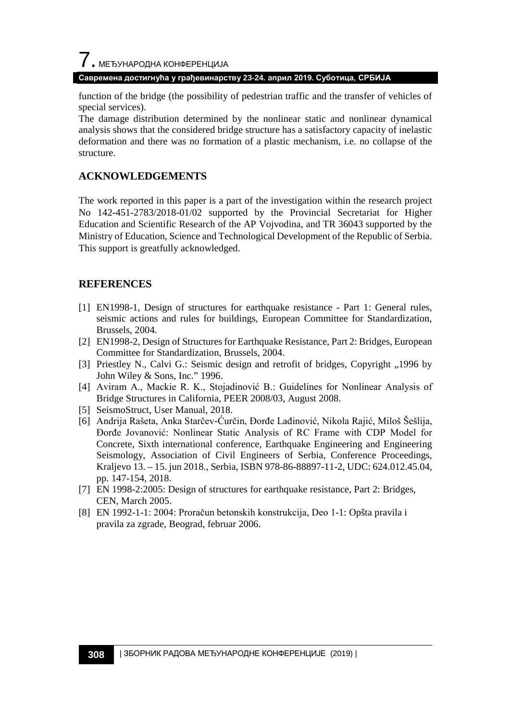# $\overline{\phantom{a}}$ . МЕЂУНАРОДНА КОНФЕРЕНЦИЈА

### **Савремена достигнућа у грађевинарству 23-24. април 2019. Суботица, СРБИЈА**

function of the bridge (the possibility of pedestrian traffic and the transfer of vehicles of special services).

The damage distribution determined by the nonlinear static and nonlinear dynamical analysis shows that the considered bridge structure has a satisfactory capacity of inelastic deformation and there was no formation of a plastic mechanism, i.e. no collapse of the structure.

## **ACKNOWLEDGEMENTS**

The work reported in this paper is a part of the investigation within the research project No 142-451-2783/2018-01/02 supported by the Provincial Secretariat for Higher Education and Scientific Research of the AP Vojvodina, and TR 36043 supported by the Ministry of Education, Science and Technological Development of the Republic of Serbia. This support is greatfully acknowledged.

### **REFERENCES**

- <span id="page-7-5"></span>[1] EN1998-1, Design of structures for earthquake resistance - Part 1: General rules, seismic actions and rules for buildings, European Committee for Standardization, Brussels, 2004.
- [2] EN1998-2, Design of Structures for Earthquake Resistance, Part 2: Bridges, European Committee for Standardization, Brussels, 2004.
- <span id="page-7-2"></span>[3] Priestley N., Calvi G.: Seismic design and retrofit of bridges, Copyright "1996 by John Wiley & Sons, Inc." 1996.
- <span id="page-7-0"></span>[4] Aviram A., Mackie R. K., Stojadinović B.: Guidelines for Nonlinear Analysis of Bridge Structures in California, PEER 2008/03, August 2008.
- <span id="page-7-1"></span>[5] SeismoStruct, User Manual, 2018.
- <span id="page-7-4"></span>[6] Andrija Rašeta, Anka Starčev-Ćurčin, Đorđe Lađinović, Nikola Rajić, Miloš Šešlija, Đorđe Jovanović: Nonlinear Static Analysis of RC Frame with CDP Model for Concrete, Sixth international conference, Earthquake Engineering and Engineering Seismology, Association of Civil Engineers of Serbia, Conference Proceedings, Kraljevo 13. – 15. jun 2018., Serbia, ISBN 978-86-88897-11-2, UDC: 624.012.45.04, pp. 147-154, 2018.
- <span id="page-7-3"></span>[7] EN 1998-2:2005: Design of structures for earthquake resistance, Part 2: Bridges, CEN, March 2005.
- [8] EN 1992-1-1: 2004: Proračun betonskih konstrukcija, Deo 1-1: Opšta pravila i pravila za zgrade, Beograd, februar 2006.